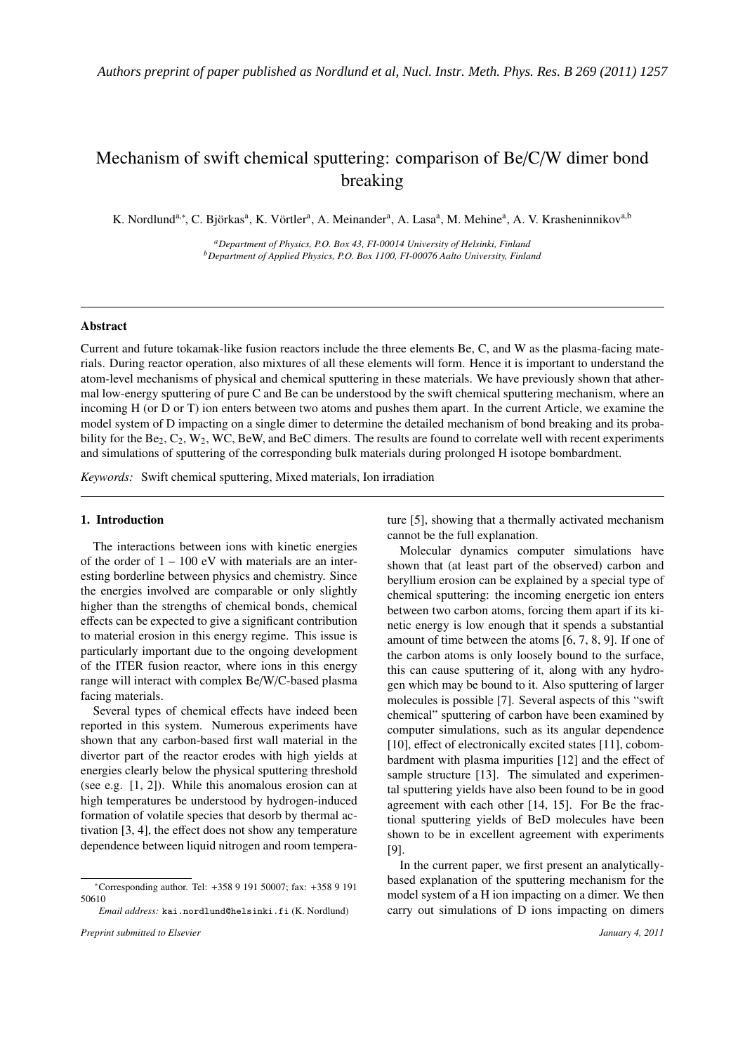# Mechanism of swift chemical sputtering: comparison of Be/C/W dimer bond breaking

K. Nordlund<sup>a,∗</sup>, C. Björkas<sup>a</sup>, K. Vörtler<sup>a</sup>, A. Meinander<sup>a</sup>, A. Lasa<sup>a</sup>, M. Mehine<sup>a</sup>, A. V. Krasheninnikov<sup>a,b</sup>

*<sup>a</sup>Department of Physics, P.O. Box 43, FI-00014 University of Helsinki, Finland <sup>b</sup>Department of Applied Physics, P.O. Box 1100, FI-00076 Aalto University, Finland*

## Abstract

Current and future tokamak-like fusion reactors include the three elements Be, C, and W as the plasma-facing materials. During reactor operation, also mixtures of all these elements will form. Hence it is important to understand the atom-level mechanisms of physical and chemical sputtering in these materials. We have previously shown that athermal low-energy sputtering of pure C and Be can be understood by the swift chemical sputtering mechanism, where an incoming H (or D or T) ion enters between two atoms and pushes them apart. In the current Article, we examine the model system of D impacting on a single dimer to determine the detailed mechanism of bond breaking and its probability for the  $Be_2$ ,  $C_2$ ,  $W_2$ , WC, BeW, and BeC dimers. The results are found to correlate well with recent experiments and simulations of sputtering of the corresponding bulk materials during prolonged H isotope bombardment.

*Keywords:* Swift chemical sputtering, Mixed materials, Ion irradiation

#### 1. Introduction

The interactions between ions with kinetic energies of the order of  $1 - 100$  eV with materials are an interesting borderline between physics and chemistry. Since the energies involved are comparable or only slightly higher than the strengths of chemical bonds, chemical effects can be expected to give a significant contribution to material erosion in this energy regime. This issue is particularly important due to the ongoing development of the ITER fusion reactor, where ions in this energy range will interact with complex Be/W/C-based plasma facing materials.

Several types of chemical effects have indeed been reported in this system. Numerous experiments have shown that any carbon-based first wall material in the divertor part of the reactor erodes with high yields at energies clearly below the physical sputtering threshold (see e.g. [1, 2]). While this anomalous erosion can at high temperatures be understood by hydrogen-induced formation of volatile species that desorb by thermal activation [3, 4], the effect does not show any temperature dependence between liquid nitrogen and room temperature [5], showing that a thermally activated mechanism cannot be the full explanation.

Molecular dynamics computer simulations have shown that (at least part of the observed) carbon and beryllium erosion can be explained by a special type of chemical sputtering: the incoming energetic ion enters between two carbon atoms, forcing them apart if its kinetic energy is low enough that it spends a substantial amount of time between the atoms [6, 7, 8, 9]. If one of the carbon atoms is only loosely bound to the surface, this can cause sputtering of it, along with any hydrogen which may be bound to it. Also sputtering of larger molecules is possible [7]. Several aspects of this "swift chemical" sputtering of carbon have been examined by computer simulations, such as its angular dependence [10], effect of electronically excited states [11], cobombardment with plasma impurities [12] and the effect of sample structure [13]. The simulated and experimental sputtering yields have also been found to be in good agreement with each other [14, 15]. For Be the fractional sputtering yields of BeD molecules have been shown to be in excellent agreement with experiments [9].

In the current paper, we first present an analyticallybased explanation of the sputtering mechanism for the model system of a H ion impacting on a dimer. We then carry out simulations of D ions impacting on dimers

<sup>∗</sup>Corresponding author. Tel: +358 9 191 50007; fax: +358 9 191 50610

*Email address:* kai.nordlund@helsinki.fi (K. Nordlund)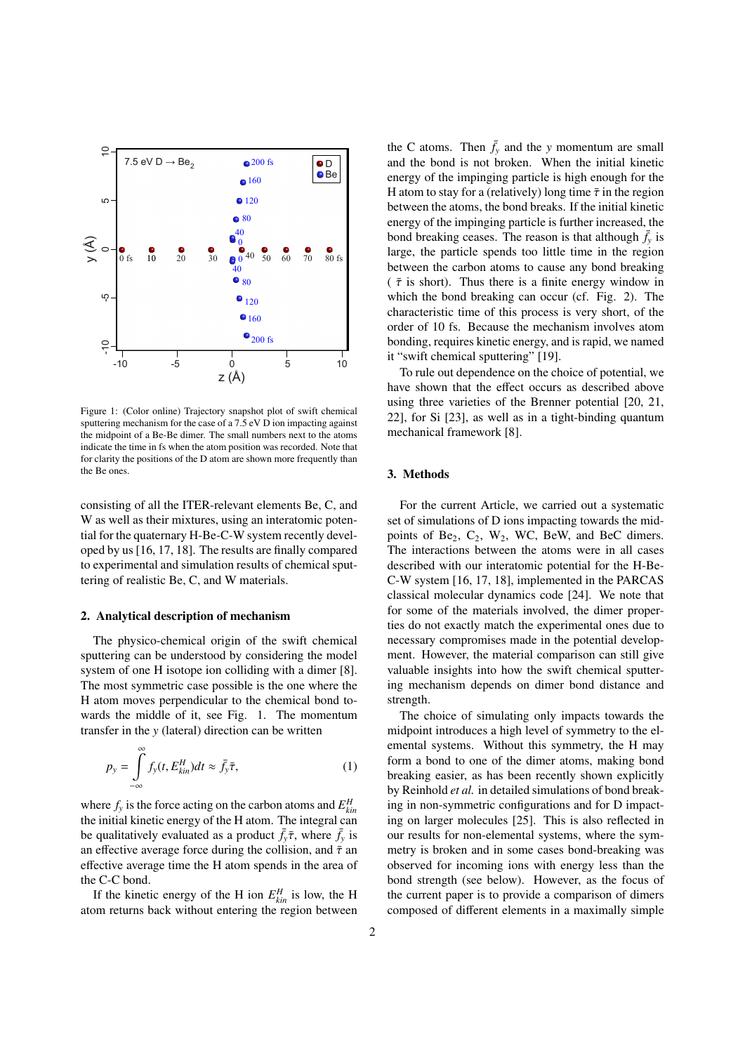

Figure 1: (Color online) Trajectory snapshot plot of swift chemical sputtering mechanism for the case of a 7.5 eV D ion impacting against the midpoint of a Be-Be dimer. The small numbers next to the atoms indicate the time in fs when the atom position was recorded. Note that for clarity the positions of the D atom are shown more frequently than the Be ones.

consisting of all the ITER-relevant elements Be, C, and W as well as their mixtures, using an interatomic potential for the quaternary H-Be-C-W system recently developed by us [16, 17, 18]. The results are finally compared to experimental and simulation results of chemical sputtering of realistic Be, C, and W materials.

#### 2. Analytical description of mechanism

The physico-chemical origin of the swift chemical sputtering can be understood by considering the model system of one H isotope ion colliding with a dimer [8]. The most symmetric case possible is the one where the H atom moves perpendicular to the chemical bond towards the middle of it, see Fig. 1. The momentum transfer in the *y* (lateral) direction can be written

$$
p_{y} = \int_{-\infty}^{\infty} f_{y}(t, E_{kin}^{H})dt \approx \bar{f}_{y}\bar{\tau},
$$
\n(1)

where  $f_y$  is the force acting on the carbon atoms and  $E_{kin}^H$ the initial kinetic energy of the H atom. The integral can be qualitatively evaluated as a product  $\bar{f}_y \bar{\tau}$ , where  $\bar{f}_y$  is an effective average force during the collision, and  $\bar{\tau}$  an effective average time the H atom spends in the area of the C-C bond.

If the kinetic energy of the H ion  $E_{kin}^H$  is low, the H atom returns back without entering the region between the C atoms. Then  $\bar{f}_y$  and the *y* momentum are small and the bond is not broken. When the initial kinetic energy of the impinging particle is high enough for the H atom to stay for a (relatively) long time  $\bar{\tau}$  in the region between the atoms, the bond breaks. If the initial kinetic energy of the impinging particle is further increased, the bond breaking ceases. The reason is that although  $\bar{f}_y$  is large, the particle spends too little time in the region between the carbon atoms to cause any bond breaking ( $\bar{\tau}$  is short). Thus there is a finite energy window in which the bond breaking can occur (cf. Fig. 2). The characteristic time of this process is very short, of the order of 10 fs. Because the mechanism involves atom bonding, requires kinetic energy, and is rapid, we named it "swift chemical sputtering" [19].

To rule out dependence on the choice of potential, we have shown that the effect occurs as described above using three varieties of the Brenner potential [20, 21, 22], for Si [23], as well as in a tight-binding quantum mechanical framework [8].

## 3. Methods

For the current Article, we carried out a systematic set of simulations of D ions impacting towards the midpoints of Be<sub>2</sub>,  $C_2$ ,  $W_2$ , WC, BeW, and BeC dimers. The interactions between the atoms were in all cases described with our interatomic potential for the H-Be-C-W system [16, 17, 18], implemented in the PARCAS classical molecular dynamics code [24]. We note that for some of the materials involved, the dimer properties do not exactly match the experimental ones due to necessary compromises made in the potential development. However, the material comparison can still give valuable insights into how the swift chemical sputtering mechanism depends on dimer bond distance and strength.

The choice of simulating only impacts towards the midpoint introduces a high level of symmetry to the elemental systems. Without this symmetry, the H may form a bond to one of the dimer atoms, making bond breaking easier, as has been recently shown explicitly by Reinhold *et al.* in detailed simulations of bond breaking in non-symmetric configurations and for D impacting on larger molecules [25]. This is also reflected in our results for non-elemental systems, where the symmetry is broken and in some cases bond-breaking was observed for incoming ions with energy less than the bond strength (see below). However, as the focus of the current paper is to provide a comparison of dimers composed of different elements in a maximally simple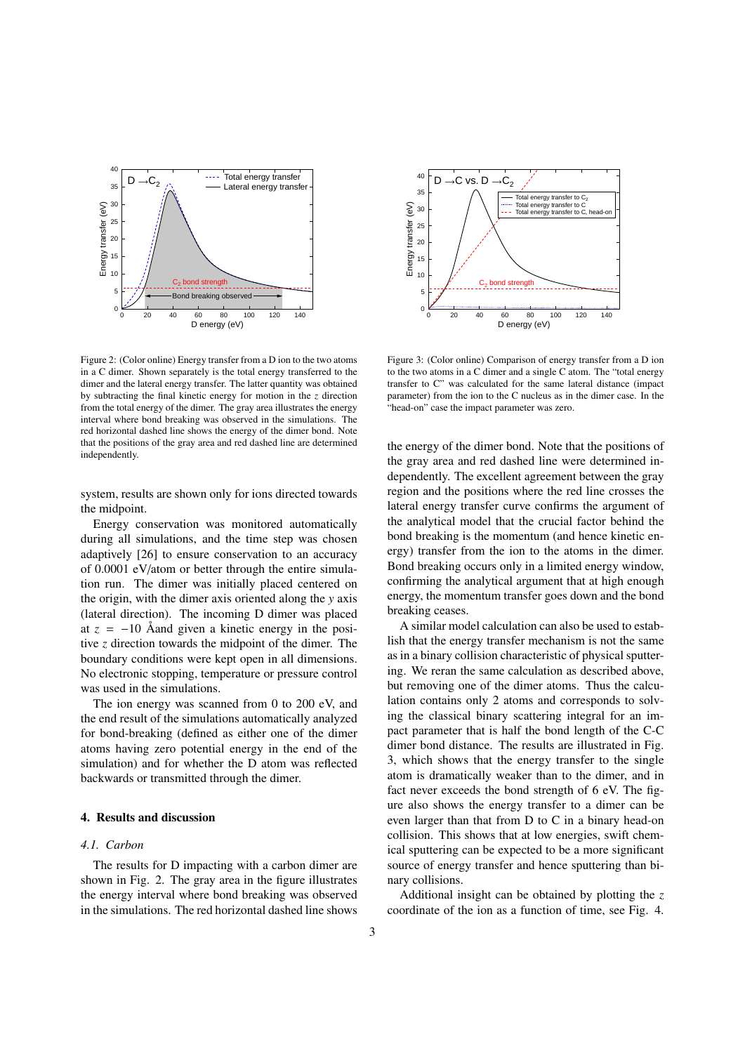

Figure 2: (Color online) Energy transfer from a D ion to the two atoms in a C dimer. Shown separately is the total energy transferred to the dimer and the lateral energy transfer. The latter quantity was obtained by subtracting the final kinetic energy for motion in the *z* direction from the total energy of the dimer. The gray area illustrates the energy interval where bond breaking was observed in the simulations. The red horizontal dashed line shows the energy of the dimer bond. Note that the positions of the gray area and red dashed line are determined independently.

system, results are shown only for ions directed towards the midpoint.

Energy conservation was monitored automatically during all simulations, and the time step was chosen adaptively [26] to ensure conservation to an accuracy of 0.0001 eV/atom or better through the entire simulation run. The dimer was initially placed centered on the origin, with the dimer axis oriented along the *y* axis (lateral direction). The incoming D dimer was placed at  $z = -10$  Åand given a kinetic energy in the positive *z* direction towards the midpoint of the dimer. The boundary conditions were kept open in all dimensions. No electronic stopping, temperature or pressure control was used in the simulations.

The ion energy was scanned from 0 to 200 eV, and the end result of the simulations automatically analyzed for bond-breaking (defined as either one of the dimer atoms having zero potential energy in the end of the simulation) and for whether the D atom was reflected backwards or transmitted through the dimer.

## 4. Results and discussion

## *4.1. Carbon*

The results for D impacting with a carbon dimer are shown in Fig. 2. The gray area in the figure illustrates the energy interval where bond breaking was observed in the simulations. The red horizontal dashed line shows



Figure 3: (Color online) Comparison of energy transfer from a D ion to the two atoms in a C dimer and a single C atom. The "total energy transfer to C" was calculated for the same lateral distance (impact parameter) from the ion to the C nucleus as in the dimer case. In the "head-on" case the impact parameter was zero.

the energy of the dimer bond. Note that the positions of the gray area and red dashed line were determined independently. The excellent agreement between the gray region and the positions where the red line crosses the lateral energy transfer curve confirms the argument of the analytical model that the crucial factor behind the bond breaking is the momentum (and hence kinetic energy) transfer from the ion to the atoms in the dimer. Bond breaking occurs only in a limited energy window, confirming the analytical argument that at high enough energy, the momentum transfer goes down and the bond breaking ceases.

A similar model calculation can also be used to establish that the energy transfer mechanism is not the same as in a binary collision characteristic of physical sputtering. We reran the same calculation as described above, but removing one of the dimer atoms. Thus the calculation contains only 2 atoms and corresponds to solving the classical binary scattering integral for an impact parameter that is half the bond length of the C-C dimer bond distance. The results are illustrated in Fig. 3, which shows that the energy transfer to the single atom is dramatically weaker than to the dimer, and in fact never exceeds the bond strength of 6 eV. The figure also shows the energy transfer to a dimer can be even larger than that from D to C in a binary head-on collision. This shows that at low energies, swift chemical sputtering can be expected to be a more significant source of energy transfer and hence sputtering than binary collisions.

Additional insight can be obtained by plotting the *z* coordinate of the ion as a function of time, see Fig. 4.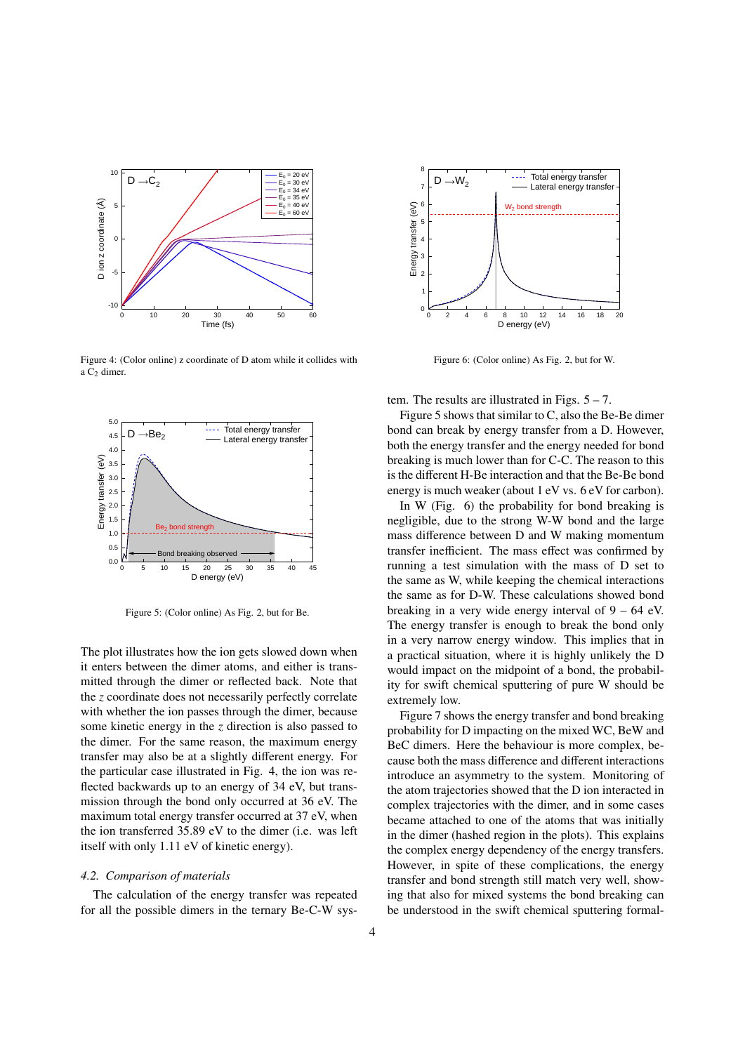

Figure 4: (Color online) z coordinate of D atom while it collides with a C<sub>2</sub> dimer.



Figure 5: (Color online) As Fig. 2, but for Be.

The plot illustrates how the ion gets slowed down when it enters between the dimer atoms, and either is transmitted through the dimer or reflected back. Note that the *z* coordinate does not necessarily perfectly correlate with whether the ion passes through the dimer, because some kinetic energy in the *z* direction is also passed to the dimer. For the same reason, the maximum energy transfer may also be at a slightly different energy. For the particular case illustrated in Fig. 4, the ion was reflected backwards up to an energy of 34 eV, but transmission through the bond only occurred at 36 eV. The maximum total energy transfer occurred at 37 eV, when the ion transferred 35.89 eV to the dimer (i.e. was left itself with only 1.11 eV of kinetic energy).

#### *4.2. Comparison of materials*

The calculation of the energy transfer was repeated for all the possible dimers in the ternary Be-C-W sys-



Figure 6: (Color online) As Fig. 2, but for W.

tem. The results are illustrated in Figs.  $5 - 7$ .

Figure 5 shows that similar to C, also the Be-Be dimer bond can break by energy transfer from a D. However, both the energy transfer and the energy needed for bond breaking is much lower than for C-C. The reason to this is the different H-Be interaction and that the Be-Be bond energy is much weaker (about 1 eV vs. 6 eV for carbon).

In W (Fig. 6) the probability for bond breaking is negligible, due to the strong W-W bond and the large mass difference between D and W making momentum transfer inefficient. The mass effect was confirmed by running a test simulation with the mass of D set to the same as W, while keeping the chemical interactions the same as for D-W. These calculations showed bond breaking in a very wide energy interval of  $9 - 64$  eV. The energy transfer is enough to break the bond only in a very narrow energy window. This implies that in a practical situation, where it is highly unlikely the D would impact on the midpoint of a bond, the probability for swift chemical sputtering of pure W should be extremely low.

Figure 7 shows the energy transfer and bond breaking probability for D impacting on the mixed WC, BeW and BeC dimers. Here the behaviour is more complex, because both the mass difference and different interactions introduce an asymmetry to the system. Monitoring of the atom trajectories showed that the D ion interacted in complex trajectories with the dimer, and in some cases became attached to one of the atoms that was initially in the dimer (hashed region in the plots). This explains the complex energy dependency of the energy transfers. However, in spite of these complications, the energy transfer and bond strength still match very well, showing that also for mixed systems the bond breaking can be understood in the swift chemical sputtering formal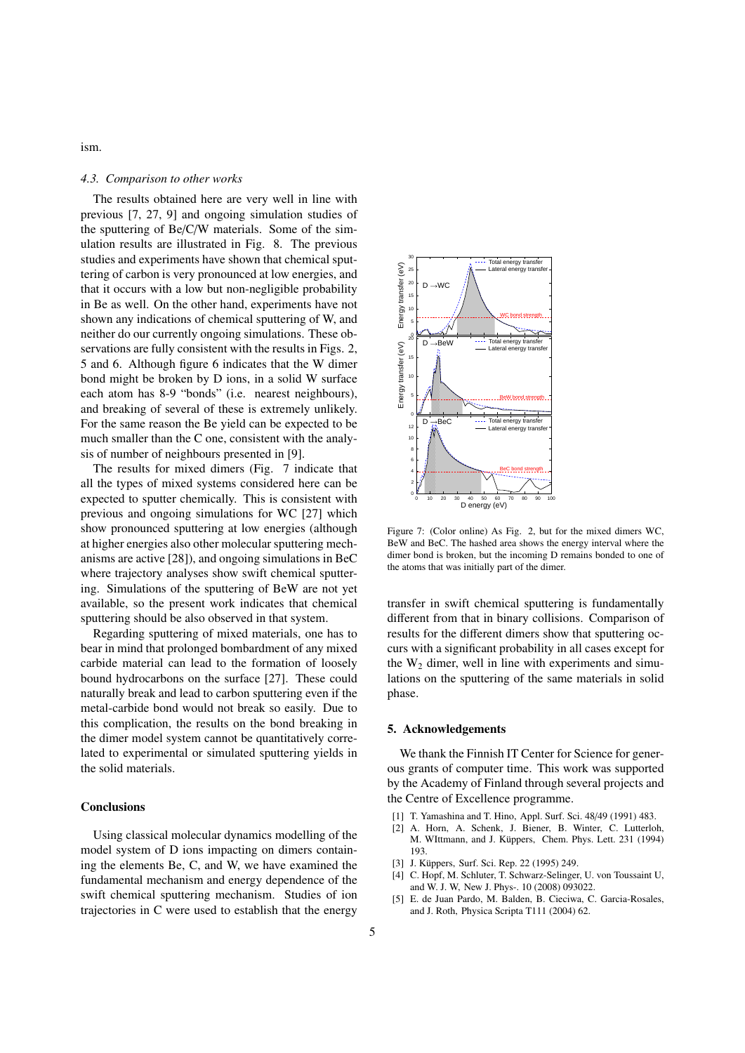ism.

## *4.3. Comparison to other works*

The results obtained here are very well in line with previous [7, 27, 9] and ongoing simulation studies of the sputtering of Be/C/W materials. Some of the simulation results are illustrated in Fig. 8. The previous studies and experiments have shown that chemical sputtering of carbon is very pronounced at low energies, and that it occurs with a low but non-negligible probability in Be as well. On the other hand, experiments have not shown any indications of chemical sputtering of W, and neither do our currently ongoing simulations. These observations are fully consistent with the results in Figs. 2, 5 and 6. Although figure 6 indicates that the W dimer bond might be broken by D ions, in a solid W surface each atom has 8-9 "bonds" (i.e. nearest neighbours), and breaking of several of these is extremely unlikely. For the same reason the Be yield can be expected to be much smaller than the C one, consistent with the analysis of number of neighbours presented in [9].

The results for mixed dimers (Fig. 7 indicate that all the types of mixed systems considered here can be expected to sputter chemically. This is consistent with previous and ongoing simulations for WC [27] which show pronounced sputtering at low energies (although at higher energies also other molecular sputtering mechanisms are active [28]), and ongoing simulations in BeC where trajectory analyses show swift chemical sputtering. Simulations of the sputtering of BeW are not yet available, so the present work indicates that chemical sputtering should be also observed in that system.

Regarding sputtering of mixed materials, one has to bear in mind that prolonged bombardment of any mixed carbide material can lead to the formation of loosely bound hydrocarbons on the surface [27]. These could naturally break and lead to carbon sputtering even if the metal-carbide bond would not break so easily. Due to this complication, the results on the bond breaking in the dimer model system cannot be quantitatively correlated to experimental or simulated sputtering yields in the solid materials.

#### **Conclusions**

Using classical molecular dynamics modelling of the model system of D ions impacting on dimers containing the elements Be, C, and W, we have examined the fundamental mechanism and energy dependence of the swift chemical sputtering mechanism. Studies of ion trajectories in C were used to establish that the energy



Figure 7: (Color online) As Fig. 2, but for the mixed dimers WC, BeW and BeC. The hashed area shows the energy interval where the dimer bond is broken, but the incoming D remains bonded to one of the atoms that was initially part of the dimer.

transfer in swift chemical sputtering is fundamentally different from that in binary collisions. Comparison of results for the different dimers show that sputtering occurs with a significant probability in all cases except for the  $W_2$  dimer, well in line with experiments and simulations on the sputtering of the same materials in solid phase.

#### 5. Acknowledgements

We thank the Finnish IT Center for Science for generous grants of computer time. This work was supported by the Academy of Finland through several projects and the Centre of Excellence programme.

- [1] T. Yamashina and T. Hino, Appl. Surf. Sci. 48/49 (1991) 483.
- [2] A. Horn, A. Schenk, J. Biener, B. Winter, C. Lutterloh, M. WIttmann, and J. Küppers, Chem. Phys. Lett. 231 (1994) 193.
- [3] J. Küppers, Surf. Sci. Rep. 22 (1995) 249.
- [4] C. Hopf, M. Schluter, T. Schwarz-Selinger, U. von Toussaint U, and W. J. W, New J. Phys-. 10 (2008) 093022.
- [5] E. de Juan Pardo, M. Balden, B. Cieciwa, C. Garcia-Rosales, and J. Roth, Physica Scripta T111 (2004) 62.